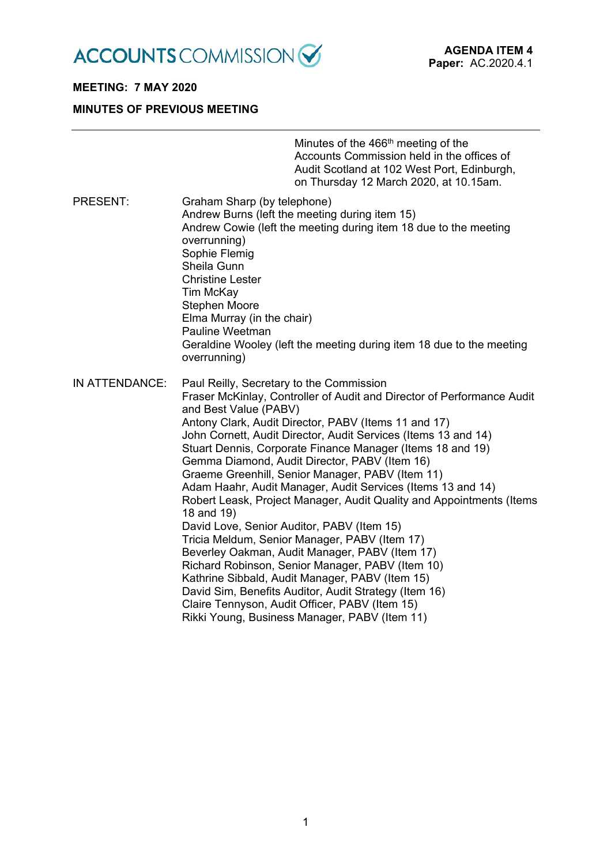

# **MEETING: 7 MAY 2020**

## **MINUTES OF PREVIOUS MEETING**

|                 |                                                                                                                                                                                                                                                                                   | Minutes of the 466 <sup>th</sup> meeting of the<br>Accounts Commission held in the offices of<br>Audit Scotland at 102 West Port, Edinburgh,<br>on Thursday 12 March 2020, at 10.15am.                                                                                                                                                                                                                                                                                                                                                                                                                                                                                                                                       |
|-----------------|-----------------------------------------------------------------------------------------------------------------------------------------------------------------------------------------------------------------------------------------------------------------------------------|------------------------------------------------------------------------------------------------------------------------------------------------------------------------------------------------------------------------------------------------------------------------------------------------------------------------------------------------------------------------------------------------------------------------------------------------------------------------------------------------------------------------------------------------------------------------------------------------------------------------------------------------------------------------------------------------------------------------------|
| <b>PRESENT:</b> | Graham Sharp (by telephone)<br>Andrew Burns (left the meeting during item 15)<br>overrunning)<br>Sophie Flemig<br>Sheila Gunn<br><b>Christine Lester</b><br>Tim McKay<br><b>Stephen Moore</b><br>Elma Murray (in the chair)<br>Pauline Weetman<br>overrunning)                    | Andrew Cowie (left the meeting during item 18 due to the meeting<br>Geraldine Wooley (left the meeting during item 18 due to the meeting                                                                                                                                                                                                                                                                                                                                                                                                                                                                                                                                                                                     |
| IN ATTENDANCE:  | Paul Reilly, Secretary to the Commission<br>and Best Value (PABV)<br>18 and 19)<br>David Love, Senior Auditor, PABV (Item 15)<br>Tricia Meldum, Senior Manager, PABV (Item 17)<br>Claire Tennyson, Audit Officer, PABV (Item 15)<br>Rikki Young, Business Manager, PABV (Item 11) | Fraser McKinlay, Controller of Audit and Director of Performance Audit<br>Antony Clark, Audit Director, PABV (Items 11 and 17)<br>John Cornett, Audit Director, Audit Services (Items 13 and 14)<br>Stuart Dennis, Corporate Finance Manager (Items 18 and 19)<br>Gemma Diamond, Audit Director, PABV (Item 16)<br>Graeme Greenhill, Senior Manager, PABV (Item 11)<br>Adam Haahr, Audit Manager, Audit Services (Items 13 and 14)<br>Robert Leask, Project Manager, Audit Quality and Appointments (Items<br>Beverley Oakman, Audit Manager, PABV (Item 17)<br>Richard Robinson, Senior Manager, PABV (Item 10)<br>Kathrine Sibbald, Audit Manager, PABV (Item 15)<br>David Sim, Benefits Auditor, Audit Strategy (Item 16) |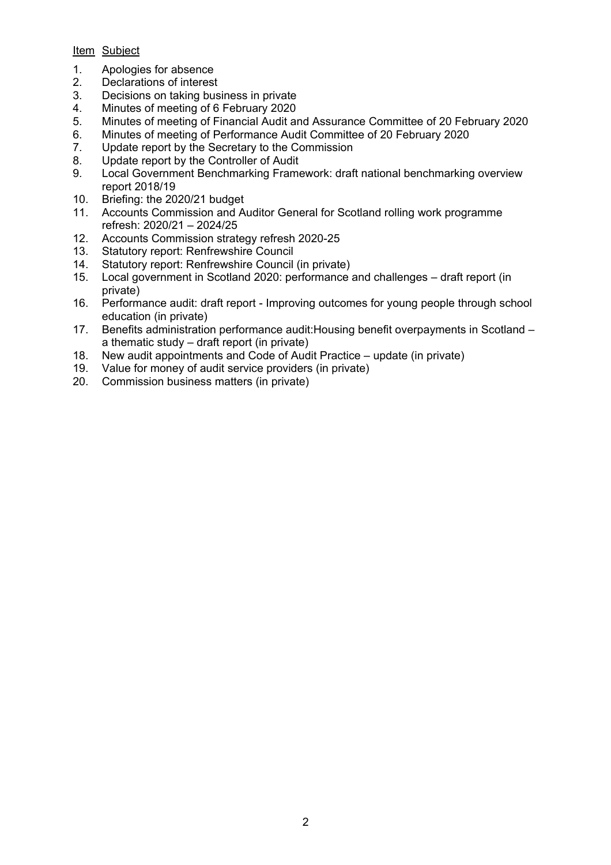### Item Subject

- 1. Apologies for absence
- 2. Declarations of interest
- 3. Decisions on taking business in private
- 4. Minutes of meeting of 6 February 2020
- 5. Minutes of meeting of Financial Audit and Assurance Committee of 20 February 2020
- 6. Minutes of meeting of Performance Audit Committee of 20 February 2020
- 7. Update report by the Secretary to the Commission
- 8. Update report by the Controller of Audit
- 9. Local Government Benchmarking Framework: draft national benchmarking overview report 2018/19
- 10. Briefing: the 2020/21 budget
- 11. Accounts Commission and Auditor General for Scotland rolling work programme refresh: 2020/21 – 2024/25
- 12. Accounts Commission strategy refresh 2020-25
- 13. Statutory report: Renfrewshire Council
- 14. Statutory report: Renfrewshire Council (in private)
- 15. Local government in Scotland 2020: performance and challenges draft report (in private)
- 16. Performance audit: draft report Improving outcomes for young people through school education (in private)
- 17. Benefits administration performance audit:Housing benefit overpayments in Scotland a thematic study – draft report (in private)
- 18. New audit appointments and Code of Audit Practice update (in private)
- 19. Value for money of audit service providers (in private)
- 20. Commission business matters (in private)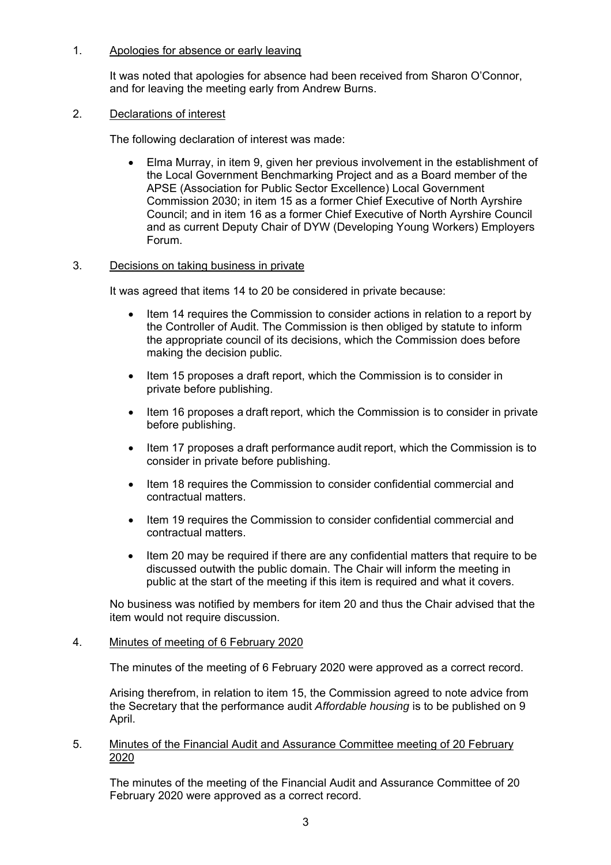### 1. Apologies for absence or early leaving

It was noted that apologies for absence had been received from Sharon O'Connor, and for leaving the meeting early from Andrew Burns.

### 2. Declarations of interest

The following declaration of interest was made:

 Elma Murray, in item 9, given her previous involvement in the establishment of the Local Government Benchmarking Project and as a Board member of the APSE (Association for Public Sector Excellence) Local Government Commission 2030; in item 15 as a former Chief Executive of North Ayrshire Council; and in item 16 as a former Chief Executive of North Ayrshire Council and as current Deputy Chair of DYW (Developing Young Workers) Employers Forum.

### 3. Decisions on taking business in private

It was agreed that items 14 to 20 be considered in private because:

- Item 14 requires the Commission to consider actions in relation to a report by the Controller of Audit. The Commission is then obliged by statute to inform the appropriate council of its decisions, which the Commission does before making the decision public.
- Item 15 proposes a draft report, which the Commission is to consider in private before publishing.
- Item 16 proposes a draft report, which the Commission is to consider in private before publishing.
- Item 17 proposes a draft performance audit report, which the Commission is to consider in private before publishing.
- Item 18 requires the Commission to consider confidential commercial and contractual matters.
- Item 19 requires the Commission to consider confidential commercial and contractual matters.
- Item 20 may be required if there are any confidential matters that require to be discussed outwith the public domain. The Chair will inform the meeting in public at the start of the meeting if this item is required and what it covers.

No business was notified by members for item 20 and thus the Chair advised that the item would not require discussion.

### 4. Minutes of meeting of 6 February 2020

The minutes of the meeting of 6 February 2020 were approved as a correct record.

Arising therefrom, in relation to item 15, the Commission agreed to note advice from the Secretary that the performance audit *Affordable housing* is to be published on 9 April.

### 5. Minutes of the Financial Audit and Assurance Committee meeting of 20 February 2020

The minutes of the meeting of the Financial Audit and Assurance Committee of 20 February 2020 were approved as a correct record.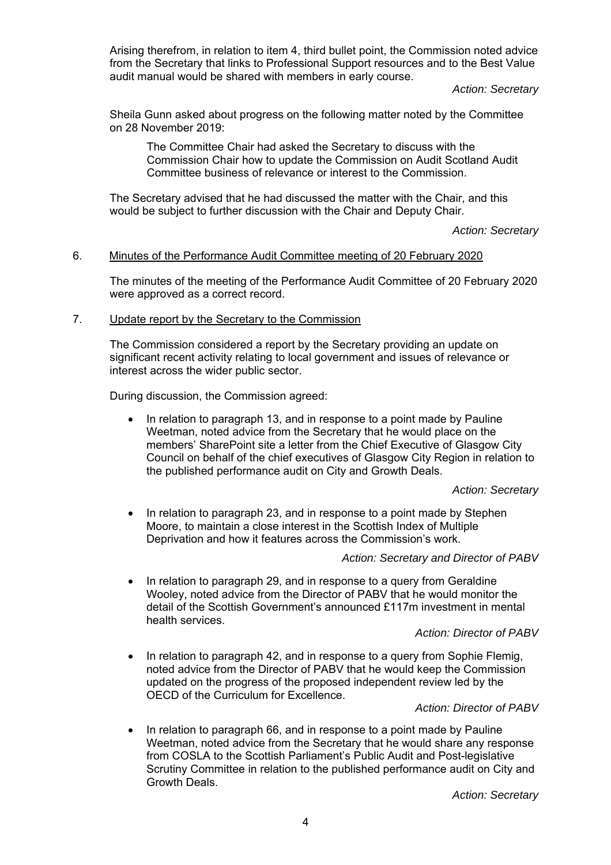Arising therefrom, in relation to item 4, third bullet point, the Commission noted advice from the Secretary that links to Professional Support resources and to the Best Value audit manual would be shared with members in early course.

*Action: Secretary* 

Sheila Gunn asked about progress on the following matter noted by the Committee on 28 November 2019:

The Committee Chair had asked the Secretary to discuss with the Commission Chair how to update the Commission on Audit Scotland Audit Committee business of relevance or interest to the Commission.

The Secretary advised that he had discussed the matter with the Chair, and this would be subject to further discussion with the Chair and Deputy Chair.

#### *Action: Secretary*

### 6. Minutes of the Performance Audit Committee meeting of 20 February 2020

The minutes of the meeting of the Performance Audit Committee of 20 February 2020 were approved as a correct record.

### 7. Update report by the Secretary to the Commission

The Commission considered a report by the Secretary providing an update on significant recent activity relating to local government and issues of relevance or interest across the wider public sector.

During discussion, the Commission agreed:

• In relation to paragraph 13, and in response to a point made by Pauline Weetman, noted advice from the Secretary that he would place on the members' SharePoint site a letter from the Chief Executive of Glasgow City Council on behalf of the chief executives of Glasgow City Region in relation to the published performance audit on City and Growth Deals.

#### *Action: Secretary*

 In relation to paragraph 23, and in response to a point made by Stephen Moore, to maintain a close interest in the Scottish Index of Multiple Deprivation and how it features across the Commission's work.

### *Action: Secretary and Director of PABV*

 In relation to paragraph 29, and in response to a query from Geraldine Wooley, noted advice from the Director of PABV that he would monitor the detail of the Scottish Government's announced £117m investment in mental health services.

#### *Action: Director of PABV*

• In relation to paragraph 42, and in response to a query from Sophie Flemig, noted advice from the Director of PABV that he would keep the Commission updated on the progress of the proposed independent review led by the OECD of the Curriculum for Excellence.

#### *Action: Director of PABV*

 In relation to paragraph 66, and in response to a point made by Pauline Weetman, noted advice from the Secretary that he would share any response from COSLA to the Scottish Parliament's Public Audit and Post-legislative Scrutiny Committee in relation to the published performance audit on City and Growth Deals.

*Action: Secretary*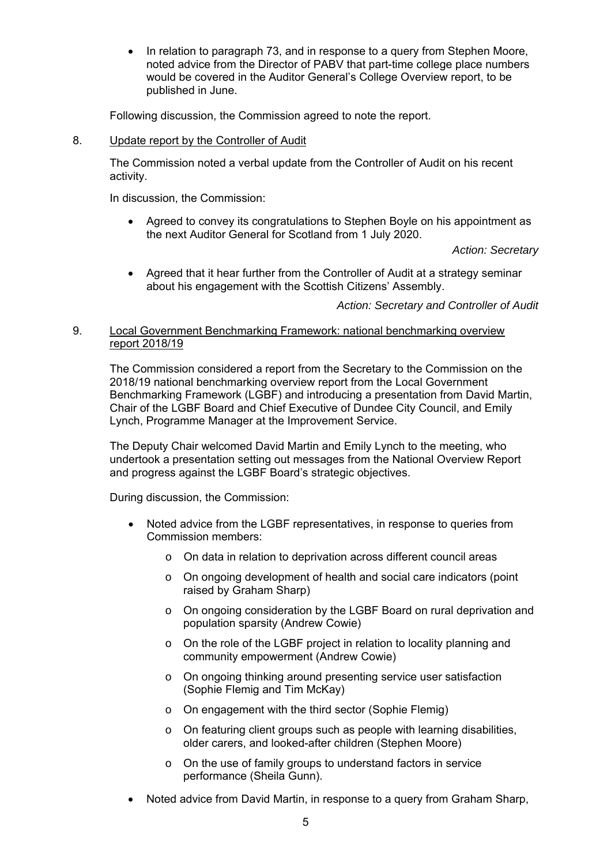• In relation to paragraph 73, and in response to a query from Stephen Moore, noted advice from the Director of PABV that part-time college place numbers would be covered in the Auditor General's College Overview report, to be published in June.

Following discussion, the Commission agreed to note the report.

### 8. Update report by the Controller of Audit

The Commission noted a verbal update from the Controller of Audit on his recent activity.

In discussion, the Commission:

 Agreed to convey its congratulations to Stephen Boyle on his appointment as the next Auditor General for Scotland from 1 July 2020.

*Action: Secretary* 

 Agreed that it hear further from the Controller of Audit at a strategy seminar about his engagement with the Scottish Citizens' Assembly.

*Action: Secretary and Controller of Audit* 

### 9. Local Government Benchmarking Framework: national benchmarking overview report 2018/19

The Commission considered a report from the Secretary to the Commission on the 2018/19 national benchmarking overview report from the Local Government Benchmarking Framework (LGBF) and introducing a presentation from David Martin, Chair of the LGBF Board and Chief Executive of Dundee City Council, and Emily Lynch, Programme Manager at the Improvement Service.

The Deputy Chair welcomed David Martin and Emily Lynch to the meeting, who undertook a presentation setting out messages from the National Overview Report and progress against the LGBF Board's strategic objectives.

During discussion, the Commission:

- Noted advice from the LGBF representatives, in response to queries from Commission members:
	- o On data in relation to deprivation across different council areas
	- o On ongoing development of health and social care indicators (point raised by Graham Sharp)
	- o On ongoing consideration by the LGBF Board on rural deprivation and population sparsity (Andrew Cowie)
	- o On the role of the LGBF project in relation to locality planning and community empowerment (Andrew Cowie)
	- o On ongoing thinking around presenting service user satisfaction (Sophie Flemig and Tim McKay)
	- o On engagement with the third sector (Sophie Flemig)
	- o On featuring client groups such as people with learning disabilities, older carers, and looked-after children (Stephen Moore)
	- o On the use of family groups to understand factors in service performance (Sheila Gunn).
- Noted advice from David Martin, in response to a query from Graham Sharp,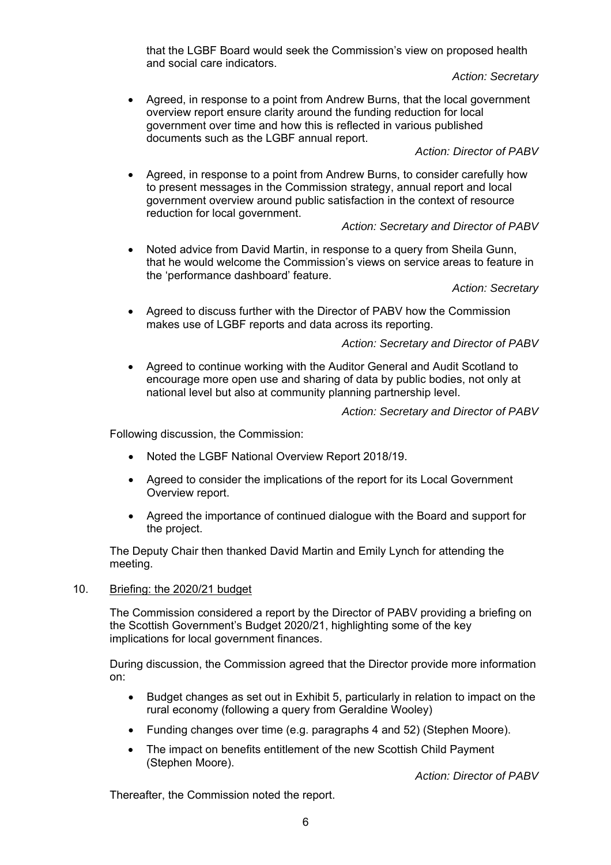that the LGBF Board would seek the Commission's view on proposed health and social care indicators.

### *Action: Secretary*

 Agreed, in response to a point from Andrew Burns, that the local government overview report ensure clarity around the funding reduction for local government over time and how this is reflected in various published documents such as the LGBF annual report.

### *Action: Director of PABV*

 Agreed, in response to a point from Andrew Burns, to consider carefully how to present messages in the Commission strategy, annual report and local government overview around public satisfaction in the context of resource reduction for local government.

### *Action: Secretary and Director of PABV*

 Noted advice from David Martin, in response to a query from Sheila Gunn, that he would welcome the Commission's views on service areas to feature in the 'performance dashboard' feature.

*Action: Secretary* 

 Agreed to discuss further with the Director of PABV how the Commission makes use of LGBF reports and data across its reporting.

### *Action: Secretary and Director of PABV*

 Agreed to continue working with the Auditor General and Audit Scotland to encourage more open use and sharing of data by public bodies, not only at national level but also at community planning partnership level.

*Action: Secretary and Director of PABV* 

Following discussion, the Commission:

- Noted the LGBF National Overview Report 2018/19.
- Agreed to consider the implications of the report for its Local Government Overview report.
- Agreed the importance of continued dialogue with the Board and support for the project.

The Deputy Chair then thanked David Martin and Emily Lynch for attending the meeting.

### 10. Briefing: the 2020/21 budget

The Commission considered a report by the Director of PABV providing a briefing on the Scottish Government's Budget 2020/21, highlighting some of the key implications for local government finances.

During discussion, the Commission agreed that the Director provide more information on:

- Budget changes as set out in Exhibit 5, particularly in relation to impact on the rural economy (following a query from Geraldine Wooley)
- Funding changes over time (e.g. paragraphs 4 and 52) (Stephen Moore).
- The impact on benefits entitlement of the new Scottish Child Payment (Stephen Moore).

*Action: Director of PABV* 

Thereafter, the Commission noted the report.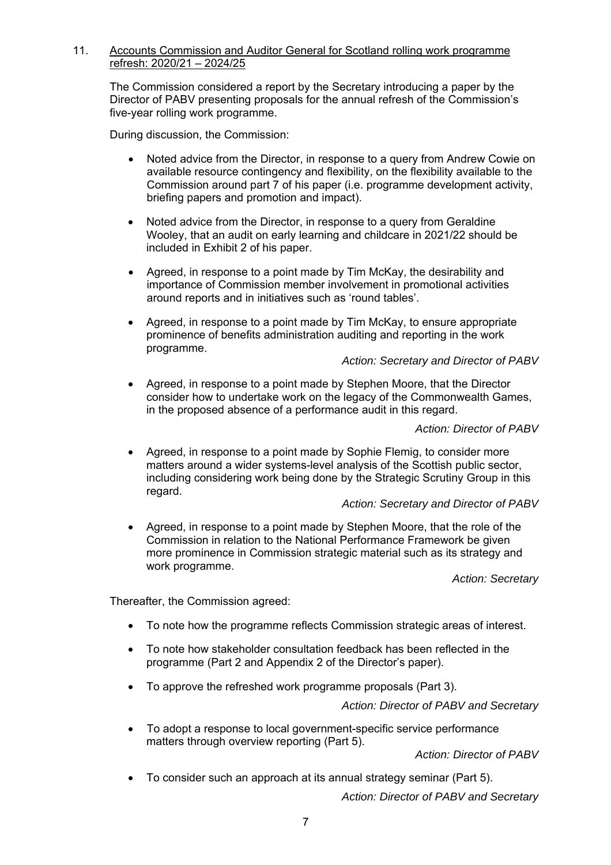### 11. Accounts Commission and Auditor General for Scotland rolling work programme refresh: 2020/21 – 2024/25

The Commission considered a report by the Secretary introducing a paper by the Director of PABV presenting proposals for the annual refresh of the Commission's five-year rolling work programme.

During discussion, the Commission:

- Noted advice from the Director, in response to a query from Andrew Cowie on available resource contingency and flexibility, on the flexibility available to the Commission around part 7 of his paper (i.e. programme development activity, briefing papers and promotion and impact).
- Noted advice from the Director, in response to a query from Geraldine Wooley, that an audit on early learning and childcare in 2021/22 should be included in Exhibit 2 of his paper.
- Agreed, in response to a point made by Tim McKay, the desirability and importance of Commission member involvement in promotional activities around reports and in initiatives such as 'round tables'.
- Agreed, in response to a point made by Tim McKay, to ensure appropriate prominence of benefits administration auditing and reporting in the work programme.

*Action: Secretary and Director of PABV* 

 Agreed, in response to a point made by Stephen Moore, that the Director consider how to undertake work on the legacy of the Commonwealth Games, in the proposed absence of a performance audit in this regard.

*Action: Director of PABV* 

 Agreed, in response to a point made by Sophie Flemig, to consider more matters around a wider systems-level analysis of the Scottish public sector, including considering work being done by the Strategic Scrutiny Group in this regard.

### *Action: Secretary and Director of PABV*

 Agreed, in response to a point made by Stephen Moore, that the role of the Commission in relation to the National Performance Framework be given more prominence in Commission strategic material such as its strategy and work programme.

*Action: Secretary* 

Thereafter, the Commission agreed:

- To note how the programme reflects Commission strategic areas of interest.
- To note how stakeholder consultation feedback has been reflected in the programme (Part 2 and Appendix 2 of the Director's paper).
- To approve the refreshed work programme proposals (Part 3).

*Action: Director of PABV and Secretary* 

 To adopt a response to local government-specific service performance matters through overview reporting (Part 5).

*Action: Director of PABV* 

To consider such an approach at its annual strategy seminar (Part 5).

*Action: Director of PABV and Secretary*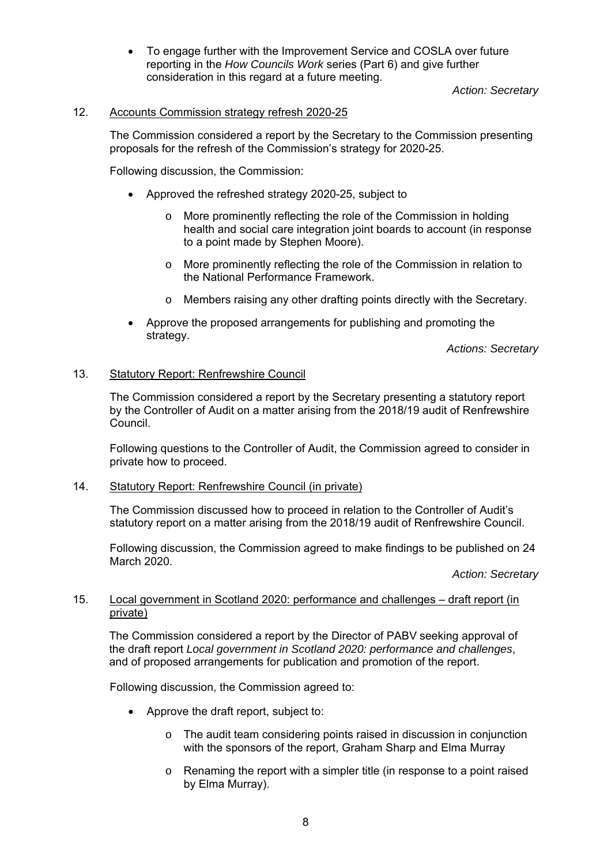To engage further with the Improvement Service and COSLA over future reporting in the *How Councils Work* series (Part 6) and give further consideration in this regard at a future meeting.

*Action: Secretary* 

### 12. Accounts Commission strategy refresh 2020-25

The Commission considered a report by the Secretary to the Commission presenting proposals for the refresh of the Commission's strategy for 2020-25.

Following discussion, the Commission:

- Approved the refreshed strategy 2020-25, subject to
	- o More prominently reflecting the role of the Commission in holding health and social care integration joint boards to account (in response to a point made by Stephen Moore).
	- o More prominently reflecting the role of the Commission in relation to the National Performance Framework.
	- o Members raising any other drafting points directly with the Secretary.
- Approve the proposed arrangements for publishing and promoting the strategy.

*Actions: Secretary* 

### 13. Statutory Report: Renfrewshire Council

The Commission considered a report by the Secretary presenting a statutory report by the Controller of Audit on a matter arising from the 2018/19 audit of Renfrewshire Council.

Following questions to the Controller of Audit, the Commission agreed to consider in private how to proceed.

#### 14. Statutory Report: Renfrewshire Council (in private)

The Commission discussed how to proceed in relation to the Controller of Audit's statutory report on a matter arising from the 2018/19 audit of Renfrewshire Council.

Following discussion, the Commission agreed to make findings to be published on 24 March 2020.

*Action: Secretary* 

### 15. Local government in Scotland 2020: performance and challenges – draft report (in private)

The Commission considered a report by the Director of PABV seeking approval of the draft report *Local government in Scotland 2020: performance and challenges*, and of proposed arrangements for publication and promotion of the report.

Following discussion, the Commission agreed to:

- Approve the draft report, subject to:
	- o The audit team considering points raised in discussion in conjunction with the sponsors of the report, Graham Sharp and Elma Murray
	- o Renaming the report with a simpler title (in response to a point raised by Elma Murray).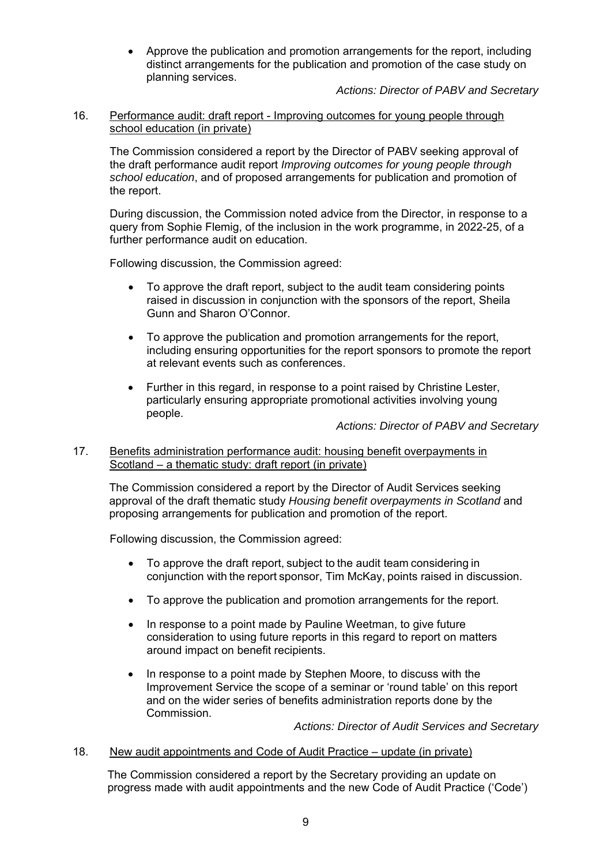Approve the publication and promotion arrangements for the report, including distinct arrangements for the publication and promotion of the case study on planning services.

*Actions: Director of PABV and Secretary* 

### 16. Performance audit: draft report - Improving outcomes for young people through school education (in private)

The Commission considered a report by the Director of PABV seeking approval of the draft performance audit report *Improving outcomes for young people through school education*, and of proposed arrangements for publication and promotion of the report.

During discussion, the Commission noted advice from the Director, in response to a query from Sophie Flemig, of the inclusion in the work programme, in 2022-25, of a further performance audit on education.

Following discussion, the Commission agreed:

- To approve the draft report, subject to the audit team considering points raised in discussion in conjunction with the sponsors of the report, Sheila Gunn and Sharon O'Connor.
- To approve the publication and promotion arrangements for the report, including ensuring opportunities for the report sponsors to promote the report at relevant events such as conferences.
- Further in this regard, in response to a point raised by Christine Lester, particularly ensuring appropriate promotional activities involving young people.

*Actions: Director of PABV and Secretary* 

### 17. Benefits administration performance audit: housing benefit overpayments in Scotland – a thematic study: draft report (in private)

The Commission considered a report by the Director of Audit Services seeking approval of the draft thematic study *Housing benefit overpayments in Scotland* and proposing arrangements for publication and promotion of the report.

Following discussion, the Commission agreed:

- To approve the draft report, subject to the audit team considering in conjunction with the report sponsor, Tim McKay, points raised in discussion.
- To approve the publication and promotion arrangements for the report.
- In response to a point made by Pauline Weetman, to give future consideration to using future reports in this regard to report on matters around impact on benefit recipients.
- In response to a point made by Stephen Moore, to discuss with the Improvement Service the scope of a seminar or 'round table' on this report and on the wider series of benefits administration reports done by the Commission.

*Actions: Director of Audit Services and Secretary* 

#### 18. New audit appointments and Code of Audit Practice – update (in private)

The Commission considered a report by the Secretary providing an update on progress made with audit appointments and the new Code of Audit Practice ('Code')